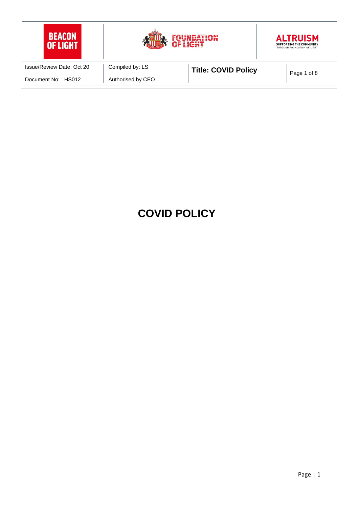

# **COVID POLICY**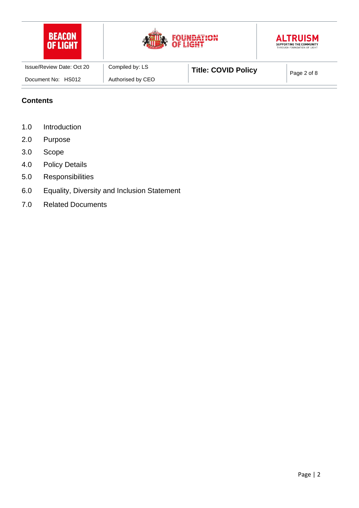| <b>BEACON</b><br><b>OF LIGHT</b> | <b>CAUSE</b>      | OUNDATION<br>OF LIGHT      | <b>ALTRUISM</b><br>SUPPORTING THE COMMUNITY<br>THROUGH FOUNDATION OF LIGHT |
|----------------------------------|-------------------|----------------------------|----------------------------------------------------------------------------|
| Issue/Review Date: Oct 20        | Compiled by: LS   | <b>Title: COVID Policy</b> | Page 2 of 8                                                                |
| Document No: HS012               | Authorised by CEO |                            |                                                                            |

#### **Contents**

- 1.0 Introduction
- 2.0 Purpose
- 3.0 Scope
- 4.0 Policy Details
- 5.0 Responsibilities
- 6.0 Equality, Diversity and Inclusion Statement
- 7.0 Related Documents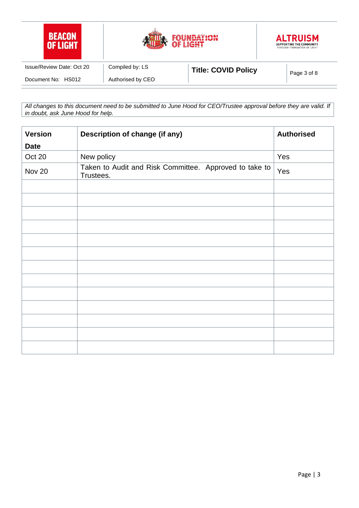| <b>BEACON</b><br>OF LIGHT |                   | FOUNDATION<br>OF LIGHT     | <b>ALTRUISM</b><br>SUPPORTING THE COMMUNITY<br>THROUGH FOUNDATION OF LIGHT |
|---------------------------|-------------------|----------------------------|----------------------------------------------------------------------------|
| Issue/Review Date: Oct 20 | Compiled by: LS   | <b>Title: COVID Policy</b> | Page 3 of 8                                                                |
| Document No: HS012        | Authorised by CEO |                            |                                                                            |

*All changes to this document need to be submitted to June Hood for CEO/Trustee approval before they are valid. If in doubt, ask June Hood for help.*

| <b>Version</b> | Description of change (if any)                                      | <b>Authorised</b> |
|----------------|---------------------------------------------------------------------|-------------------|
| <b>Date</b>    |                                                                     |                   |
| Oct 20         | New policy                                                          | Yes               |
| <b>Nov 20</b>  | Taken to Audit and Risk Committee. Approved to take to<br>Trustees. | Yes               |
|                |                                                                     |                   |
|                |                                                                     |                   |
|                |                                                                     |                   |
|                |                                                                     |                   |
|                |                                                                     |                   |
|                |                                                                     |                   |
|                |                                                                     |                   |
|                |                                                                     |                   |
|                |                                                                     |                   |
|                |                                                                     |                   |
|                |                                                                     |                   |
|                |                                                                     |                   |
|                |                                                                     |                   |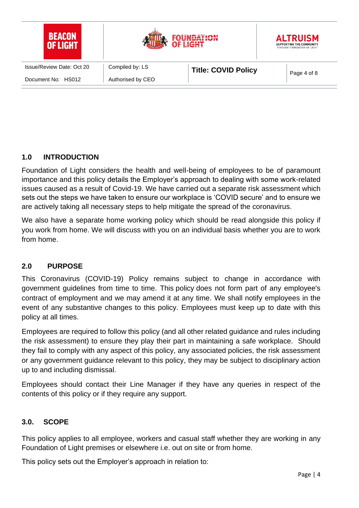

## **1.0 INTRODUCTION**

Foundation of Light considers the health and well-being of employees to be of paramount importance and this policy details the Employer's approach to dealing with some work-related issues caused as a result of Covid-19. We have carried out a separate risk assessment which sets out the steps we have taken to ensure our workplace is 'COVID secure' and to ensure we are actively taking all necessary steps to help mitigate the spread of the coronavirus.

We also have a separate home working policy which should be read alongside this policy if you work from home. We will discuss with you on an individual basis whether you are to work from home.

### **2.0 PURPOSE**

This Coronavirus (COVID-19) Policy remains subject to change in accordance with government guidelines from time to time. This policy does not form part of any employee's contract of employment and we may amend it at any time. We shall notify employees in the event of any substantive changes to this policy. Employees must keep up to date with this policy at all times.

Employees are required to follow this policy (and all other related guidance and rules including the risk assessment) to ensure they play their part in maintaining a safe workplace. Should they fail to comply with any aspect of this policy, any associated policies, the risk assessment or any government guidance relevant to this policy, they may be subject to disciplinary action up to and including dismissal.

Employees should contact their Line Manager if they have any queries in respect of the contents of this policy or if they require any support.

### **3.0. SCOPE**

This policy applies to all employee, workers and casual staff whether they are working in any Foundation of Light premises or elsewhere i.e. out on site or from home.

This policy sets out the Employer's approach in relation to: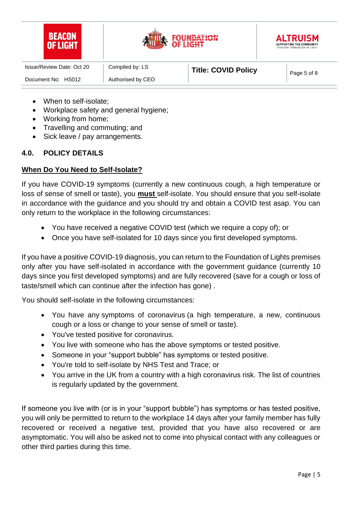| <b>BEACON</b>             |                   | <b>JUNDATION</b><br>OF LIGHT | <b>ALTRUISM</b><br>SUPPORTING THE COMMUNITY<br>THROUGH FOUNDATION OF LIGHT |
|---------------------------|-------------------|------------------------------|----------------------------------------------------------------------------|
| Issue/Review Date: Oct 20 | Compiled by: LS   | <b>Title: COVID Policy</b>   | Page 5 of 8                                                                |
| Document No: HS012        | Authorised by CEO |                              |                                                                            |

- When to self-isolate:
- Workplace safety and general hygiene;
- Working from home;
- Travelling and commuting; and
- Sick leave / pay arrangements.

#### **4.0. POLICY DETAILS**

#### **When Do You Need to Self-Isolate?**

If you have COVID-19 symptoms (currently a new continuous cough, a high temperature or loss of sense of smell or taste), you **must** self-isolate. You should ensure that you self-isolate in accordance with the guidance and you should try and obtain a COVID test asap. You can only return to the workplace in the following circumstances:

- You have received a negative COVID test (which we require a copy of); or
- Once you have self-isolated for 10 days since you first developed symptoms.

If you have a positive COVID-19 diagnosis, you can return to the Foundation of Lights premises only after you have self-isolated in accordance with the government guidance (currently 10 days since you first developed symptoms) and are fully recovered (save for a cough or loss of taste/smell which can continue after the infection has gone) .

You should self-isolate in the following circumstances:

- You have any symptoms of coronavirus (a high temperature, a new, continuous cough or a loss or change to your sense of smell or taste).
- You've tested positive for coronavirus.
- You live with someone who has the above symptoms or tested positive.
- Someone in your "support bubble" has symptoms or tested positive.
- You're told to self-isolate by NHS Test and Trace; or
- You arrive in the UK from a country with a high coronavirus risk. The list of countries is regularly updated by the government.

If someone you live with (or is in your "support bubble") has symptoms or has tested positive, you will only be permitted to return to the workplace 14 days after your family member has fully recovered or received a negative test, provided that you have also recovered or are asymptomatic. You will also be asked not to come into physical contact with any colleagues or other third parties during this time.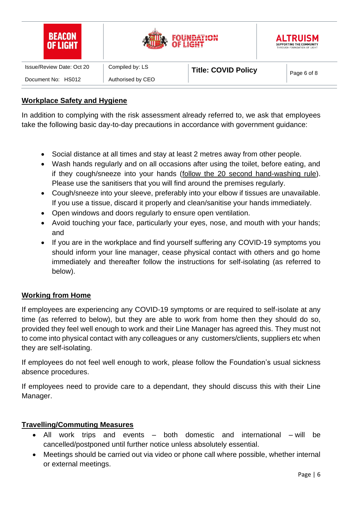| <b>BEACON</b><br>LIGHT    |                   | <b>JNDATION</b><br>OF LIGHT | <b>ALTRUISM</b><br>SUPPORTING THE COMMUNITY<br>THROUGH FOUNDATION OF LIGHT |
|---------------------------|-------------------|-----------------------------|----------------------------------------------------------------------------|
| Issue/Review Date: Oct 20 | Compiled by: LS   | <b>Title: COVID Policy</b>  | Page 6 of 8                                                                |
| Document No: HS012        | Authorised by CEO |                             |                                                                            |

### **Workplace Safety and Hygiene**

In addition to complying with the risk assessment already referred to, we ask that employees take the following basic day-to-day precautions in accordance with government guidance:

- Social distance at all times and stay at least 2 metres away from other people.
- Wash hands regularly and on all occasions after using the toilet, before eating, and if they cough/sneeze into your hands [\(follow the 20 second hand-washing rule\)](https://www.nhs.uk/live-well/healthy-body/best-way-to-wash-your-hands/). Please use the sanitisers that you will find around the premises regularly.
- Cough/sneeze into your sleeve, preferably into your elbow if tissues are unavailable. If you use a tissue, discard it properly and clean/sanitise your hands immediately.
- Open windows and doors regularly to ensure open ventilation.
- Avoid touching your face, particularly your eyes, nose, and mouth with your hands; and
- If you are in the workplace and find yourself suffering any COVID-19 symptoms you should inform your line manager, cease physical contact with others and go home immediately and thereafter follow the instructions for self-isolating (as referred to below).

#### **Working from Home**

If employees are experiencing any COVID-19 symptoms or are required to self-isolate at any time (as referred to below), but they are able to work from home then they should do so, provided they feel well enough to work and their Line Manager has agreed this. They must not to come into physical contact with any colleagues or any customers/clients, suppliers etc when they are self-isolating.

If employees do not feel well enough to work, please follow the Foundation's usual sickness absence procedures.

If employees need to provide care to a dependant, they should discuss this with their Line Manager.

### **Travelling/Commuting Measures**

- All work trips and events both domestic and international will be cancelled/postponed until further notice unless absolutely essential.
- Meetings should be carried out via video or phone call where possible, whether internal or external meetings.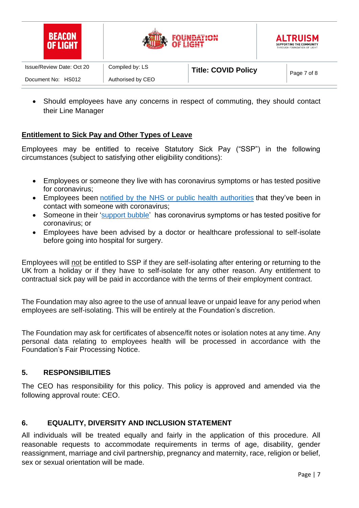| <b>BEACON</b><br><b>OF LIGHT</b> | <b>CAUSE</b>      | <b>JUNDATION</b><br>OF LIGHT | <b>ALTRUISM</b><br>SUPPORTING THE COMMUNITY<br>THROUGH FOUNDATION OF LIGHT |
|----------------------------------|-------------------|------------------------------|----------------------------------------------------------------------------|
| Issue/Review Date: Oct 20        | Compiled by: LS   | <b>Title: COVID Policy</b>   | Page 7 of 8                                                                |
| Document No: HS012               | Authorised by CEO |                              |                                                                            |

• Should employees have any concerns in respect of commuting, they should contact their Line Manager

### **Entitlement to Sick Pay and Other Types of Leave**

Employees may be entitled to receive Statutory Sick Pay ("SSP") in the following circumstances (subject to satisfying other eligibility conditions):

- Employees or someone they live with has coronavirus symptoms or has tested positive for coronavirus;
- Employees been notified by the NHS or public health [authorities](https://www.gov.uk/guidance/nhs-test-and-trace-how-it-works) that they've been in contact with someone with coronavirus;
- Someone in their ['support](https://www.gov.uk/guidance/meeting-people-from-outside-your-household-from-4-july) bubble' has coronavirus symptoms or has tested positive for coronavirus; or
- Employees have been advised by a doctor or healthcare professional to self-isolate before going into hospital for surgery.

Employees will not be entitled to SSP if they are self-isolating after entering or returning to the UK from a holiday or if they have to self-isolate for any other reason. Any entitlement to contractual sick pay will be paid in accordance with the terms of their employment contract.

The Foundation may also agree to the use of annual leave or unpaid leave for any period when employees are self-isolating. This will be entirely at the Foundation's discretion.

The Foundation may ask for certificates of absence/fit notes or isolation notes at any time. Any personal data relating to employees health will be processed in accordance with the Foundation's Fair Processing Notice.

### **5. RESPONSIBILITIES**

The CEO has responsibility for this policy. This policy is approved and amended via the following approval route: CEO.

### **6. EQUALITY, DIVERSITY AND INCLUSION STATEMENT**

All individuals will be treated equally and fairly in the application of this procedure. All reasonable requests to accommodate requirements in terms of age, disability, gender reassignment, marriage and civil partnership, pregnancy and maternity, race, religion or belief, sex or sexual orientation will be made.